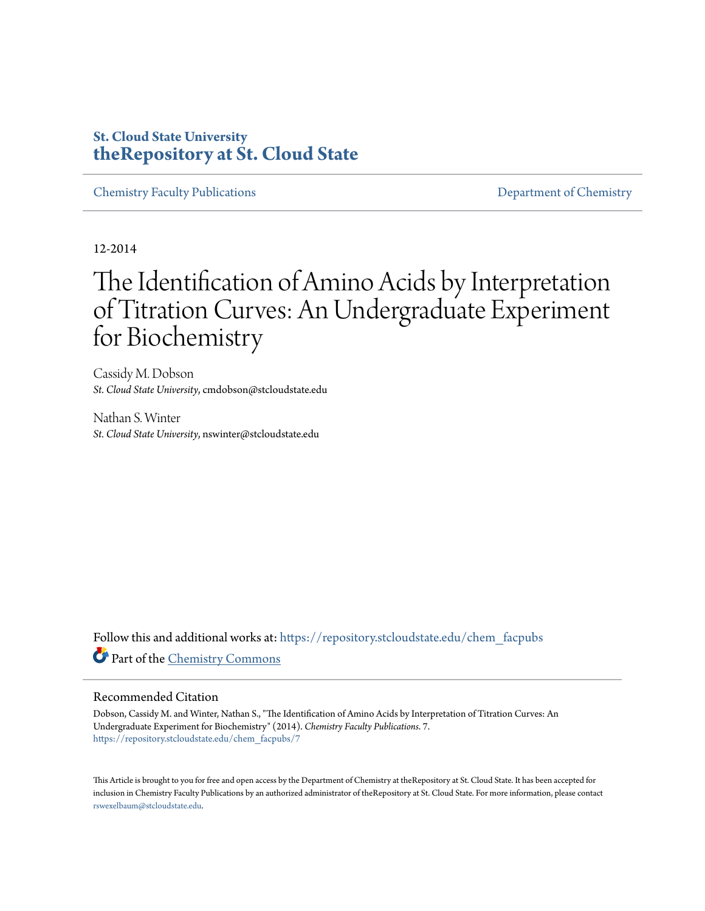# **St. Cloud State University [theRepository at St. Cloud State](https://repository.stcloudstate.edu?utm_source=repository.stcloudstate.edu%2Fchem_facpubs%2F7&utm_medium=PDF&utm_campaign=PDFCoverPages)**

[Chemistry Faculty Publications](https://repository.stcloudstate.edu/chem_facpubs?utm_source=repository.stcloudstate.edu%2Fchem_facpubs%2F7&utm_medium=PDF&utm_campaign=PDFCoverPages) **[Department of Chemistry](https://repository.stcloudstate.edu/chem?utm_source=repository.stcloudstate.edu%2Fchem_facpubs%2F7&utm_medium=PDF&utm_campaign=PDFCoverPages)** 

12-2014

# The Identification of Amino Acids by Interpretation of Titration Curves: An Undergraduate Experiment for Biochemistry

Cassidy M. Dobson *St. Cloud State University*, cmdobson@stcloudstate.edu

Nathan S. Winter *St. Cloud State University*, nswinter@stcloudstate.edu

Follow this and additional works at: [https://repository.stcloudstate.edu/chem\\_facpubs](https://repository.stcloudstate.edu/chem_facpubs?utm_source=repository.stcloudstate.edu%2Fchem_facpubs%2F7&utm_medium=PDF&utm_campaign=PDFCoverPages) Part of the [Chemistry Commons](http://network.bepress.com/hgg/discipline/131?utm_source=repository.stcloudstate.edu%2Fchem_facpubs%2F7&utm_medium=PDF&utm_campaign=PDFCoverPages)

#### Recommended Citation

Dobson, Cassidy M. and Winter, Nathan S., "The Identification of Amino Acids by Interpretation of Titration Curves: An Undergraduate Experiment for Biochemistry" (2014). *Chemistry Faculty Publications*. 7. [https://repository.stcloudstate.edu/chem\\_facpubs/7](https://repository.stcloudstate.edu/chem_facpubs/7?utm_source=repository.stcloudstate.edu%2Fchem_facpubs%2F7&utm_medium=PDF&utm_campaign=PDFCoverPages)

This Article is brought to you for free and open access by the Department of Chemistry at theRepository at St. Cloud State. It has been accepted for inclusion in Chemistry Faculty Publications by an authorized administrator of theRepository at St. Cloud State. For more information, please contact [rswexelbaum@stcloudstate.edu](mailto:rswexelbaum@stcloudstate.edu).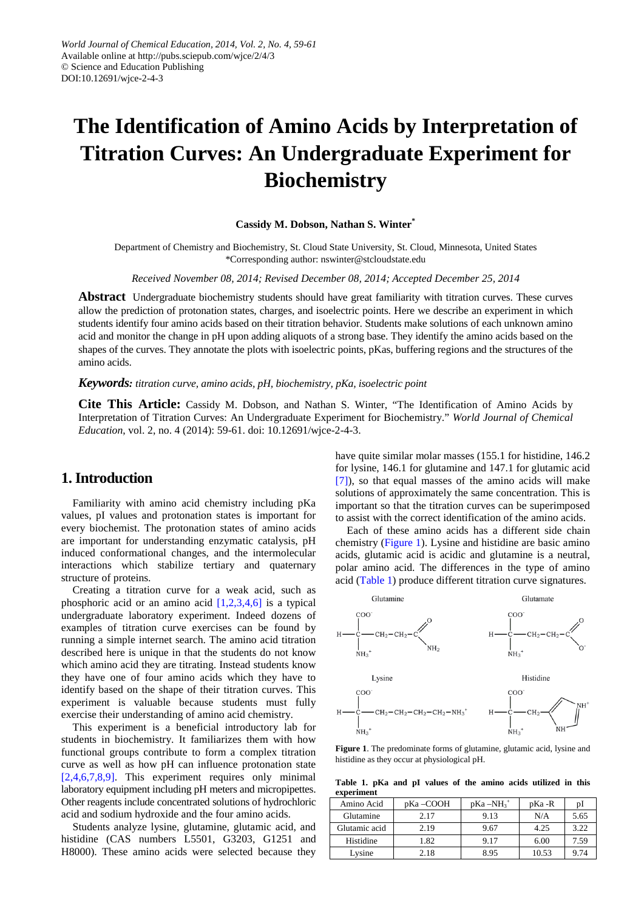# **The Identification of Amino Acids by Interpretation of Titration Curves: An Undergraduate Experiment for Biochemistry**

#### **Cassidy M. Dobson, Nathan S. Winter\***

Department of Chemistry and Biochemistry, St. Cloud State University, St. Cloud, Minnesota, United States \*Corresponding author: nswinter@stcloudstate.edu

*Received November 08, 2014; Revised December 08, 2014; Accepted December 25, 2014*

**Abstract** Undergraduate biochemistry students should have great familiarity with titration curves. These curves allow the prediction of protonation states, charges, and isoelectric points. Here we describe an experiment in which students identify four amino acids based on their titration behavior. Students make solutions of each unknown amino acid and monitor the change in pH upon adding aliquots of a strong base. They identify the amino acids based on the shapes of the curves. They annotate the plots with isoelectric points, pKas, buffering regions and the structures of the amino acids.

#### *Keywords: titration curve, amino acids, pH, biochemistry, pKa, isoelectric point*

**Cite This Article:** Cassidy M. Dobson, and Nathan S. Winter, "The Identification of Amino Acids by Interpretation of Titration Curves: An Undergraduate Experiment for Biochemistry." *World Journal of Chemical Education*, vol. 2, no. 4 (2014): 59-61. doi: 10.12691/wjce-2-4-3.

### **1. Introduction**

Familiarity with amino acid chemistry including pKa values, pI values and protonation states is important for every biochemist. The protonation states of amino acids are important for understanding enzymatic catalysis, pH induced conformational changes, and the intermolecular interactions which stabilize tertiary and quaternary structure of proteins.

Creating a titration curve for a weak acid, such as phosphoric acid or an amino acid  $[1,2,3,4,6]$  is a typical undergraduate laboratory experiment. Indeed dozens of examples of titration curve exercises can be found by running a simple internet search. The amino acid titration described here is unique in that the students do not know which amino acid they are titrating. Instead students know they have one of four amino acids which they have to identify based on the shape of their titration curves. This experiment is valuable because students must fully exercise their understanding of amino acid chemistry.

This experiment is a beneficial introductory lab for students in biochemistry. It familiarizes them with how functional groups contribute to form a complex titration curve as well as how pH can influence protonation state [\[2,4,6,7,8,9\].](#page-3-0) This experiment requires only minimal laboratory equipment including pH meters and micropipettes. Other reagents include concentrated solutions of hydrochloric acid and sodium hydroxide and the four amino acids.

Students analyze lysine, glutamine, glutamic acid, and histidine (CAS numbers L5501, G3203, G1251 and H8000). These amino acids were selected because they

have quite similar molar masses (155.1 for histidine, 146.2) for lysine, 146.1 for glutamine and 147.1 for glutamic acid [\[7\]\)](#page-3-1), so that equal masses of the amino acids will make solutions of approximately the same concentration. This is important so that the titration curves can be superimposed to assist with the correct identification of the amino acids.

Each of these amino acids has a different side chain chemistry [\(Figure 1\)](#page-1-0). Lysine and histidine are basic amino acids, glutamic acid is acidic and glutamine is a neutral, polar amino acid. The differences in the type of amino acid [\(Table 1\)](#page-1-1) produce different titration curve signatures.

<span id="page-1-0"></span>

**Figure 1**. The predominate forms of glutamine, glutamic acid, lysine and histidine as they occur at physiological pH.

**Table 1. pKa and pI values of the amino acids utilized in this experiment**

<span id="page-1-1"></span>

| Amino Acid    | pKa-COOH | $pKa - NH_3^+$ | pKa -R | pI   |
|---------------|----------|----------------|--------|------|
| Glutamine     | 2.17     | 9.13           | N/A    | 5.65 |
| Glutamic acid | 2.19     | 9.67           | 4.25   | 3.22 |
| Histidine     | 1.82     | 9.17           | 6.00   | 7.59 |
| Lysine        | 2.18     | 8.95           | 10.53  | 9.74 |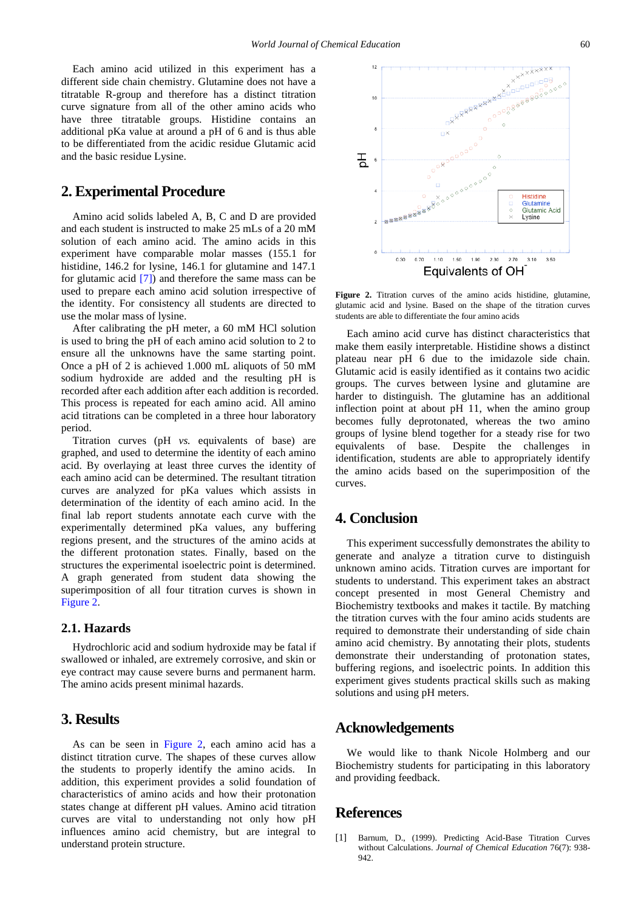Each amino acid utilized in this experiment has a different side chain chemistry. Glutamine does not have a titratable R-group and therefore has a distinct titration curve signature from all of the other amino acids who have three titratable groups. Histidine contains an additional pKa value at around a pH of 6 and is thus able to be differentiated from the acidic residue Glutamic acid and the basic residue Lysine.

#### **2. Experimental Procedure**

Amino acid solids labeled A, B, C and D are provided and each student is instructed to make 25 mLs of a 20 mM solution of each amino acid. The amino acids in this experiment have comparable molar masses (155.1 for histidine, 146.2 for lysine, 146.1 for glutamine and 147.1 for glutamic acid [\[7\]\)](#page-3-1) and therefore the same mass can be used to prepare each amino acid solution irrespective of the identity. For consistency all students are directed to use the molar mass of lysine.

After calibrating the pH meter, a 60 mM HCl solution is used to bring the pH of each amino acid solution to 2 to ensure all the unknowns have the same starting point. Once a pH of 2 is achieved 1.000 mL aliquots of 50 mM sodium hydroxide are added and the resulting pH is recorded after each addition after each addition is recorded. This process is repeated for each amino acid. All amino acid titrations can be completed in a three hour laboratory period.

Titration curves (pH *vs.* equivalents of base) are graphed, and used to determine the identity of each amino acid. By overlaying at least three curves the identity of each amino acid can be determined. The resultant titration curves are analyzed for pKa values which assists in determination of the identity of each amino acid. In the final lab report students annotate each curve with the experimentally determined pKa values, any buffering regions present, and the structures of the amino acids at the different protonation states. Finally, based on the structures the experimental isoelectric point is determined. A graph generated from student data showing the superimposition of all four titration curves is shown in [Figure 2.](#page-2-1)

#### **2.1. Hazards**

Hydrochloric acid and sodium hydroxide may be fatal if swallowed or inhaled, are extremely corrosive, and skin or eye contract may cause severe burns and permanent harm. The amino acids present minimal hazards.

### **3. Results**

As can be seen in [Figure 2,](#page-2-1) each amino acid has a distinct titration curve. The shapes of these curves allow the students to properly identify the amino acids. In addition, this experiment provides a solid foundation of characteristics of amino acids and how their protonation states change at different pH values. Amino acid titration curves are vital to understanding not only how pH influences amino acid chemistry, but are integral to understand protein structure.

<span id="page-2-1"></span>

**Figure 2.** Titration curves of the amino acids histidine, glutamine, glutamic acid and lysine. Based on the shape of the titration curves students are able to differentiate the four amino acids

Each amino acid curve has distinct characteristics that make them easily interpretable. Histidine shows a distinct plateau near pH 6 due to the imidazole side chain. Glutamic acid is easily identified as it contains two acidic groups. The curves between lysine and glutamine are harder to distinguish. The glutamine has an additional inflection point at about pH 11, when the amino group becomes fully deprotonated, whereas the two amino groups of lysine blend together for a steady rise for two equivalents of base. Despite the challenges in identification, students are able to appropriately identify the amino acids based on the superimposition of the curves.

## **4. Conclusion**

This experiment successfully demonstrates the ability to generate and analyze a titration curve to distinguish unknown amino acids. Titration curves are important for students to understand. This experiment takes an abstract concept presented in most General Chemistry and Biochemistry textbooks and makes it tactile. By matching the titration curves with the four amino acids students are required to demonstrate their understanding of side chain amino acid chemistry. By annotating their plots, students demonstrate their understanding of protonation states, buffering regions, and isoelectric points. In addition this experiment gives students practical skills such as making solutions and using pH meters.

#### **Acknowledgements**

We would like to thank Nicole Holmberg and our Biochemistry students for participating in this laboratory and providing feedback.

#### **References**

<span id="page-2-0"></span>[1] Barnum, D., (1999). Predicting Acid-Base Titration Curves without Calculations. *Journal of Chemical Education* 76(7): 938- 942.